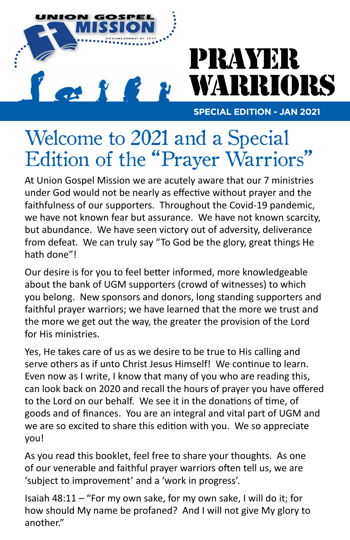

# PRAYER WARRIORS

**SPECIAL EDITION - JAN 2021**

### Welcome to 2021 and a Special Edition of the "Prayer Warriors"

At Union Gospel Mission we are acutely aware that our 7 ministries under God would not be nearly as effective without prayer and the faithfulness of our supporters. Throughout the Covid-19 pandemic, we have not known fear but assurance. We have not known scarcity, but abundance. We have seen victory out of adversity, deliverance from defeat. We can truly say "To God be the glory, great things He hath done"!

Our desire is for you to feel better informed, more knowledgeable about the bank of UGM supporters (crowd of witnesses) to which you belong. New sponsors and donors, long standing supporters and faithful prayer warriors; we have learned that the more we trust and the more we get out the way, the greater the provision of the Lord for His ministries.

Yes, He takes care of us as we desire to be true to His calling and serve others as if unto Christ Jesus Himself! We continue to learn. Even now as I write, I know that many of you who are reading this, can look back on 2020 and recall the hours of prayer you have offered to the Lord on our behalf. We see it in the donations of time, of goods and of finances. You are an integral and vital part of UGM and we are so excited to share this edition with you. We so appreciate you!

As you read this booklet, feel free to share your thoughts. As one of our venerable and faithful prayer warriors often tell us, we are 'subject to improvement' and a 'work in progress'.

Isaiah 48:11 – "For my own sake, for my own sake, I will do it; for how should My name be profaned? And I will not give My glory to another."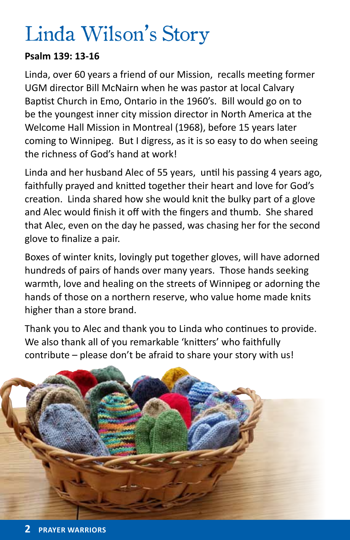# Linda Wilson's Story

### **Psalm 139: 13-16**

Linda, over 60 years a friend of our Mission, recalls meeting former UGM director Bill McNairn when he was pastor at local Calvary Baptist Church in Emo, Ontario in the 1960's. Bill would go on to be the youngest inner city mission director in North America at the Welcome Hall Mission in Montreal (1968), before 15 years later coming to Winnipeg. But I digress, as it is so easy to do when seeing the richness of God's hand at work!

Linda and her husband Alec of 55 years, until his passing 4 years ago, faithfully prayed and knitted together their heart and love for God's creation. Linda shared how she would knit the bulky part of a glove and Alec would finish it off with the fingers and thumb. She shared that Alec, even on the day he passed, was chasing her for the second glove to finalize a pair.

Boxes of winter knits, lovingly put together gloves, will have adorned hundreds of pairs of hands over many years. Those hands seeking warmth, love and healing on the streets of Winnipeg or adorning the hands of those on a northern reserve, who value home made knits higher than a store brand.

Thank you to Alec and thank you to Linda who continues to provide. We also thank all of you remarkable 'knitters' who faithfully contribute – please don't be afraid to share your story with us!

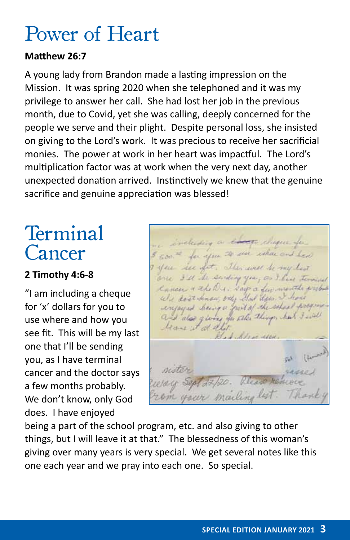### Power of Heart

#### **Matthew 26:7**

A young lady from Brandon made a lasting impression on the Mission. It was spring 2020 when she telephoned and it was my privilege to answer her call. She had lost her job in the previous month, due to Covid, yet she was calling, deeply concerned for the people we serve and their plight. Despite personal loss, she insisted on giving to the Lord's work. It was precious to receive her sacrificial monies. The power at work in her heart was impactful. The Lord's multiplication factor was at work when the very next day, another unexpected donation arrived. Instinctively we knew that the genuine sacrifice and genuine appreciation was blessed!

### Terminal Cancer

### **2 Timothy 4:6-8**

"I am including a cheque for 'x' dollars for you to use where and how you see fit. This will be my last one that I'll be sending you, as I have terminal cancer and the doctor says a few months probably. We don't know, only God does. I have enjoyed

for you to see you see fit This well be I'll the striding year, as I. Cancer & the Du. says a few months with don't know only and deep I have enjoyed being a part of the school and also giving for ate things, he lease it of old God Steven allen

being a part of the school program, etc. and also giving to other things, but I will leave it at that." The blessedness of this woman's giving over many years is very special. We get several notes like this one each year and we pray into each one. So special.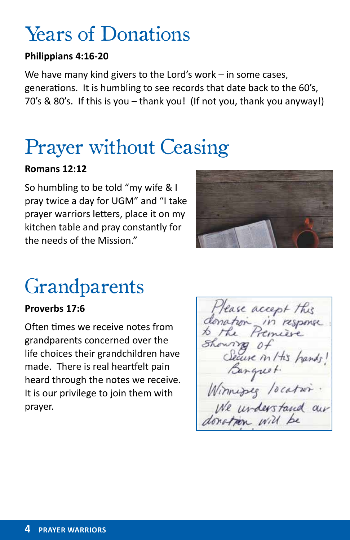# Years of Donations

### **Philippians 4:16-20**

We have many kind givers to the Lord's work – in some cases, generations. It is humbling to see records that date back to the 60's, 70's & 80's. If this is you – thank you! (If not you, thank you anyway!)

# Prayer without Ceasing

#### **Romans 12:12**

So humbling to be told "my wife & I pray twice a day for UGM" and "I take prayer warriors letters, place it on my kitchen table and pray constantly for the needs of the Mission."



# **Grandparents**

#### **Proverbs 17:6**

Often times we receive notes from grandparents concerned over the life choices their grandchildren have made. There is real heartfelt pain heard through the notes we receive. It is our privilege to join them with prayer.

lease accept this in response in / tis hands! Winnipeg location.<br>We understand our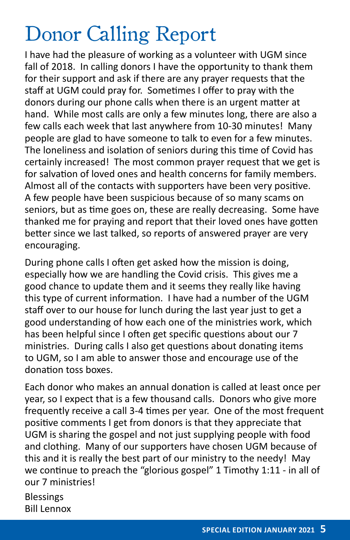# Donor Calling Report

I have had the pleasure of working as a volunteer with UGM since fall of 2018. In calling donors I have the opportunity to thank them for their support and ask if there are any prayer requests that the staff at UGM could pray for. Sometimes I offer to pray with the donors during our phone calls when there is an urgent matter at hand. While most calls are only a few minutes long, there are also a few calls each week that last anywhere from 10-30 minutes! Many people are glad to have someone to talk to even for a few minutes. The loneliness and isolation of seniors during this time of Covid has certainly increased! The most common prayer request that we get is for salvation of loved ones and health concerns for family members. Almost all of the contacts with supporters have been very positive. A few people have been suspicious because of so many scams on seniors, but as time goes on, these are really decreasing. Some have thanked me for praying and report that their loved ones have gotten better since we last talked, so reports of answered prayer are very encouraging.

During phone calls I often get asked how the mission is doing, especially how we are handling the Covid crisis. This gives me a good chance to update them and it seems they really like having this type of current information. I have had a number of the UGM staff over to our house for lunch during the last year just to get a good understanding of how each one of the ministries work, which has been helpful since I often get specific questions about our 7 ministries. During calls I also get questions about donating items to UGM, so I am able to answer those and encourage use of the donation toss boxes.

Each donor who makes an annual donation is called at least once per year, so I expect that is a few thousand calls. Donors who give more frequently receive a call 3-4 times per year. One of the most frequent positive comments I get from donors is that they appreciate that UGM is sharing the gospel and not just supplying people with food and clothing. Many of our supporters have chosen UGM because of this and it is really the best part of our ministry to the needy! May we continue to preach the "glorious gospel" 1 Timothy 1:11 - in all of our 7 ministries!

Blessings Bill Lennox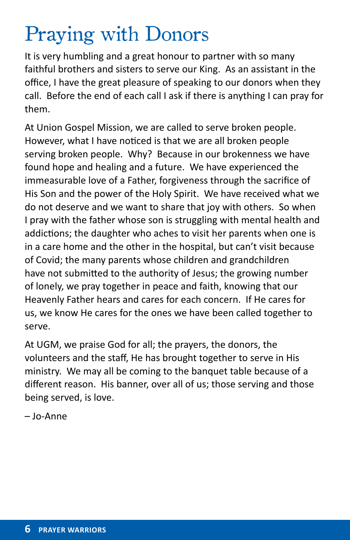# Praying with Donors

It is very humbling and a great honour to partner with so many faithful brothers and sisters to serve our King. As an assistant in the office, I have the great pleasure of speaking to our donors when they call. Before the end of each call I ask if there is anything I can pray for them.

At Union Gospel Mission, we are called to serve broken people. However, what I have noticed is that we are all broken people serving broken people. Why? Because in our brokenness we have found hope and healing and a future. We have experienced the immeasurable love of a Father, forgiveness through the sacrifice of His Son and the power of the Holy Spirit. We have received what we do not deserve and we want to share that joy with others. So when I pray with the father whose son is struggling with mental health and addictions; the daughter who aches to visit her parents when one is in a care home and the other in the hospital, but can't visit because of Covid; the many parents whose children and grandchildren have not submitted to the authority of Jesus; the growing number of lonely, we pray together in peace and faith, knowing that our Heavenly Father hears and cares for each concern. If He cares for us, we know He cares for the ones we have been called together to serve.

At UGM, we praise God for all; the prayers, the donors, the volunteers and the staff, He has brought together to serve in His ministry. We may all be coming to the banquet table because of a different reason. His banner, over all of us; those serving and those being served, is love.

– Jo-Anne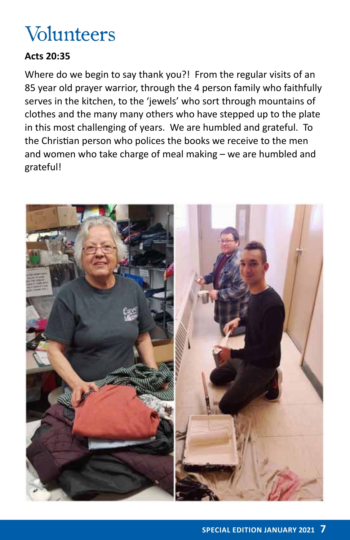# Volunteers

### **Acts 20:35**

Where do we begin to say thank you?! From the regular visits of an 85 year old prayer warrior, through the 4 person family who faithfully serves in the kitchen, to the 'jewels' who sort through mountains of clothes and the many many others who have stepped up to the plate in this most challenging of years. We are humbled and grateful. To the Christian person who polices the books we receive to the men and women who take charge of meal making – we are humbled and grateful!

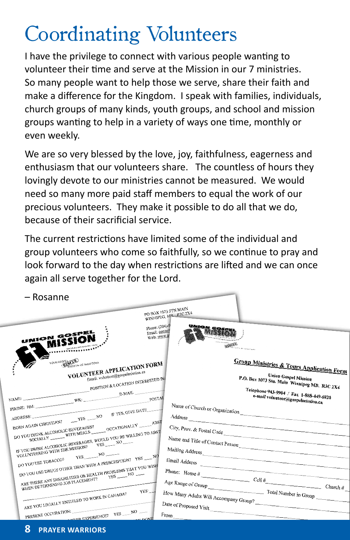# Coordinating Volunteers

I have the privilege to connect with various people wanting to volunteer their time and serve at the Mission in our 7 ministries. So many people want to help those we serve, share their faith and make a difference for the Kingdom. I speak with families, individuals, church groups of many kinds, youth groups, and school and mission groups wanting to help in a variety of ways one time, monthly or even weekly.

We are so very blessed by the love, joy, faithfulness, eagerness and enthusiasm that our volunteers share. The countless of hours they lovingly devote to our ministries cannot be measured. We would need so many more paid staff members to equal the work of our precious volunteers. They make it possible to do all that we do, because of their sacrificial service.

The current restrictions have limited some of the individual and group volunteers who come so faithfully, so we continue to pray and look forward to the day when restrictions are lifted and we can once again all serve together for the Lord.

| – Rosanne                                                                                                                                                                                                                                                                                                                                                                                                                                                                                                                                                                  |                                                                                                                                     |
|----------------------------------------------------------------------------------------------------------------------------------------------------------------------------------------------------------------------------------------------------------------------------------------------------------------------------------------------------------------------------------------------------------------------------------------------------------------------------------------------------------------------------------------------------------------------------|-------------------------------------------------------------------------------------------------------------------------------------|
|                                                                                                                                                                                                                                                                                                                                                                                                                                                                                                                                                                            | PO BOX 1073 STN MAIN<br>WINNIPEG, MB. R3C 2X4<br>Phone: (204)-9<br><b>UNION GOSPEY</b>                                              |
| Email: contact<br>UNION GOSPEL<br>Web: www.go<br><b>MISSION</b><br>METALLISLUM OF LONG 4<br>$\begin{array}{lll} \multicolumn{2}{l} {\begin{tabular}{l} \multicolumn{2}{l}{{\hspace{-2mm}}}\textbf{a} & \multicolumn{2}{l}{\textbf{a}} & \multicolumn{2}{l}{\textbf{a}} & \multicolumn{2}{l}{\textbf{a}} & \multicolumn{2}{l}{\textbf{a}} & \multicolumn{2}{l}{\textbf{a}} & \multicolumn{2}{l}{\textbf{a}} & \multicolumn{2}{l}{\textbf{a}} & \multicolumn{2}{l}{\textbf{a}} & \multicolumn{2}{l}{\textbf{a}} & \multicolumn{2}{l}{\textbf{a}} & \multicolumn{2}{l}{\text$ | <b>MASS</b><br><b>BESCUE</b><br><b>HISKING OF MANITORA</b>                                                                          |
| YOUR GOSPER COMPANY OF MANITORA<br>VOLUNTEER APPLICATION FORM<br>Email: volunteer@gospelmission.ca<br>POSITION & LOCATION INTERESTED IN:                                                                                                                                                                                                                                                                                                                                                                                                                                   | <b>Group Ministries &amp; Tours Application Form</b><br><b>Union Gospel Mission</b><br>P.O. Box 1073 Stn. Main Winnipeg MB. R3C 2X4 |
| $\label{eq:WKB} \text{PHONE: HM:}\xrightarrow{\text{F-MAIL}}$<br>POSTAL                                                                                                                                                                                                                                                                                                                                                                                                                                                                                                    | Telephone 943-9904 / Fax 1-888-449-6820<br>e-mail volunteer@gospelmission.ca                                                        |
| BORN AGAIN CHRISTIAN? $YES$ NO IF YES, GIVE DATE<br>$\overset{\bullet}{\text{WDRINK ALCOHOLIC BEVERAGES?}} \text{OCCATIONALI/Y} \xrightarrow{\text{ABST}}$                                                                                                                                                                                                                                                                                                                                                                                                                 | Name of Church or Organization<br>Address                                                                                           |
| DO YOU DRINK ALCOHOLIC BEVERAGES?<br>IF YOU DRINK ALCOHOLIC BEVERAGES, WOULD YOU BE WILLING TO ABST<br>IF YOU UNING ALLUTIOUS BEVERANDS, WOULD INVOLUTIOUS                                                                                                                                                                                                                                                                                                                                                                                                                 | City, Prov. & Postal Code<br>Name and Title of Contact Person                                                                       |
| DO YOU USE TOBACCO? YES NO<br>DO YOU USE DRUGS OTHER THAN WITH A PRESCRIPTION? YES _____ NO                                                                                                                                                                                                                                                                                                                                                                                                                                                                                | Mailing Address<br>Email Address                                                                                                    |
| ARE THERE ANY DISABILITIES OR HEALTH PROBLEMS THAT YOU WISH<br>ARE INFER ANY DISABILITIES ON HEALTH WARDEN 190<br>YES:                                                                                                                                                                                                                                                                                                                                                                                                                                                     | Phone: $\text{Home } \#$ Cell $\#$ Church $\#$ Church $\#$<br>Age Range of Group Total Number in Group                              |
| ARE YOU LEGALLY ENTITLED TO WORK IN CANADA?                                                                                                                                                                                                                                                                                                                                                                                                                                                                                                                                | How Many Adults Will Accompany Group?<br>Date of Proposed Visit                                                                     |
| PRESENT OCCUPATION:<br>NO WERE EXPERIENCE? YES NO<br><b>LAV DONE</b>                                                                                                                                                                                                                                                                                                                                                                                                                                                                                                       | $\mathrm{From}$                                                                                                                     |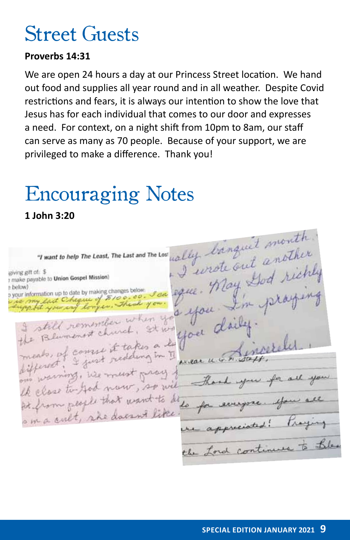### Street Guests

#### **Proverbs 14:31**

We are open 24 hours a day at our Princess Street location. We hand out food and supplies all year round and in all weather. Despite Covid restrictions and fears, it is always our intention to show the love that Jesus has for each individual that comes to our door and expresses a need. For context, on a night shift from 10pm to 8am, our staff can serve as many as 70 people. Because of your support, we are privileged to make a difference. Thank you!

### Encouraging Notes

**1 John 3:20**

"I want to help The Least, The Last and The Lost wally banquet month. cally banque another note out and richly giving gift of: \$ about 8th office to Union Gospel Mission) n below) rea eque. e below)<br>o your information up to date by making changes below. or information up to date by many changes of still remember when<br>Elumenost church, 9 I still remember when you doit the close to God now, so wil At from people that want to do om a cult, she doesn't like the Lord continues to the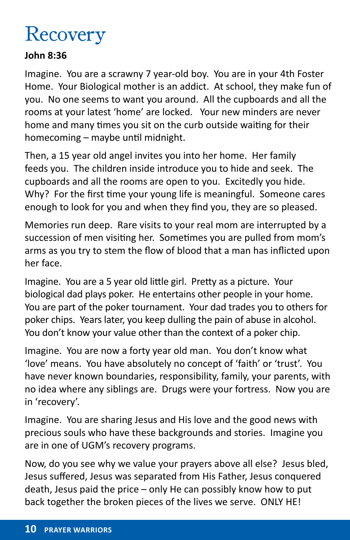# Recovery

### **John 8:36**

Imagine. You are a scrawny 7 year-old boy. You are in your 4th Foster Home. Your Biological mother is an addict. At school, they make fun of you. No one seems to want you around. All the cupboards and all the rooms at your latest 'home' are locked. Your new minders are never home and many times you sit on the curb outside waiting for their homecoming – maybe until midnight.

Then, a 15 year old angel invites you into her home. Her family feeds you. The children inside introduce you to hide and seek. The cupboards and all the rooms are open to you. Excitedly you hide. Why? For the first time your young life is meaningful. Someone cares enough to look for you and when they find you, they are so pleased.

Memories run deep. Rare visits to your real mom are interrupted by a succession of men visiting her. Sometimes you are pulled from mom's arms as you try to stem the flow of blood that a man has inflicted upon her face.

Imagine. You are a 5 year old little girl. Pretty as a picture. Your biological dad plays poker. He entertains other people in your home. You are part of the poker tournament. Your dad trades you to others for poker chips. Years later, you keep dulling the pain of abuse in alcohol. You don't know your value other than the context of a poker chip.

Imagine. You are now a forty year old man. You don't know what 'love' means. You have absolutely no concept of 'faith' or 'trust'. You have never known boundaries, responsibility, family, your parents, with no idea where any siblings are. Drugs were your fortress. Now you are in 'recovery'.

Imagine. You are sharing Jesus and His love and the good news with precious souls who have these backgrounds and stories. Imagine you are in one of UGM's recovery programs.

Now, do you see why we value your prayers above all else? Jesus bled, Jesus suffered, Jesus was separated from His Father, Jesus conquered death, Jesus paid the price – only He can possibly know how to put back together the broken pieces of the lives we serve. ONLY HE!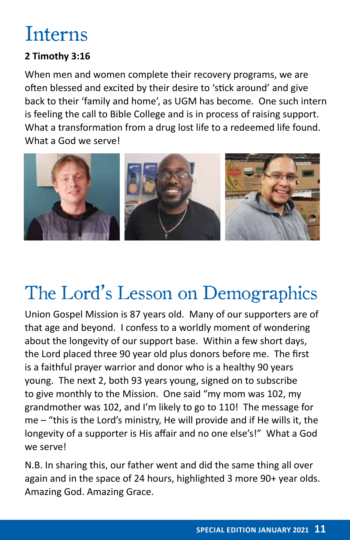# Interns

### **2 Timothy 3:16**

When men and women complete their recovery programs, we are often blessed and excited by their desire to 'stick around' and give back to their 'family and home', as UGM has become. One such intern is feeling the call to Bible College and is in process of raising support. What a transformation from a drug lost life to a redeemed life found. What a God we serve!



# The Lord's Lesson on Demographics

Union Gospel Mission is 87 years old. Many of our supporters are of that age and beyond. I confess to a worldly moment of wondering about the longevity of our support base. Within a few short days, the Lord placed three 90 year old plus donors before me. The first is a faithful prayer warrior and donor who is a healthy 90 years young. The next 2, both 93 years young, signed on to subscribe to give monthly to the Mission. One said "my mom was 102, my grandmother was 102, and I'm likely to go to 110! The message for me – "this is the Lord's ministry, He will provide and if He wills it, the longevity of a supporter is His affair and no one else's!" What a God we serve!

N.B. In sharing this, our father went and did the same thing all over again and in the space of 24 hours, highlighted 3 more 90+ year olds. Amazing God. Amazing Grace.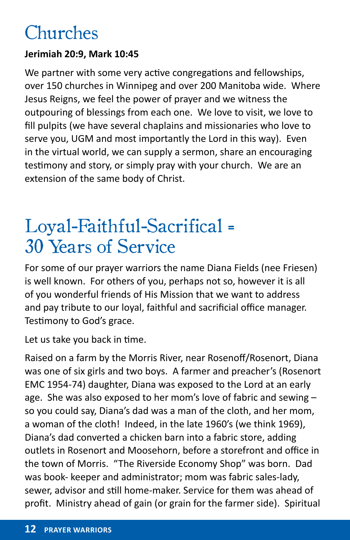### Churches

### **Jerimiah 20:9, Mark 10:45**

We partner with some very active congregations and fellowships, over 150 churches in Winnipeg and over 200 Manitoba wide. Where Jesus Reigns, we feel the power of prayer and we witness the outpouring of blessings from each one. We love to visit, we love to fill pulpits (we have several chaplains and missionaries who love to serve you, UGM and most importantly the Lord in this way). Even in the virtual world, we can supply a sermon, share an encouraging testimony and story, or simply pray with your church. We are an extension of the same body of Christ.

### Loyal-Faithful-Sacrifical = 30 Years of Service

For some of our prayer warriors the name Diana Fields (nee Friesen) is well known. For others of you, perhaps not so, however it is all of you wonderful friends of His Mission that we want to address and pay tribute to our loyal, faithful and sacrificial office manager. Testimony to God's grace.

Let us take you back in time.

Raised on a farm by the Morris River, near Rosenoff/Rosenort, Diana was one of six girls and two boys. A farmer and preacher's (Rosenort EMC 1954-74) daughter, Diana was exposed to the Lord at an early age. She was also exposed to her mom's love of fabric and sewing – so you could say, Diana's dad was a man of the cloth, and her mom, a woman of the cloth! Indeed, in the late 1960's (we think 1969), Diana's dad converted a chicken barn into a fabric store, adding outlets in Rosenort and Moosehorn, before a storefront and office in the town of Morris. "The Riverside Economy Shop" was born. Dad was book- keeper and administrator; mom was fabric sales-lady, sewer, advisor and still home-maker. Service for them was ahead of profit. Ministry ahead of gain (or grain for the farmer side). Spiritual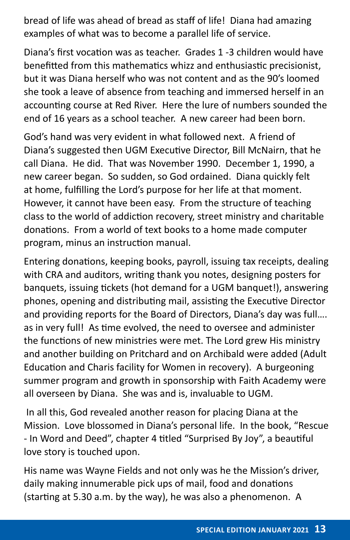bread of life was ahead of bread as staff of life! Diana had amazing examples of what was to become a parallel life of service.

Diana's first vocation was as teacher. Grades 1 -3 children would have benefitted from this mathematics whizz and enthusiastic precisionist, but it was Diana herself who was not content and as the 90's loomed she took a leave of absence from teaching and immersed herself in an accounting course at Red River. Here the lure of numbers sounded the end of 16 years as a school teacher. A new career had been born.

God's hand was very evident in what followed next. A friend of Diana's suggested then UGM Executive Director, Bill McNairn, that he call Diana. He did. That was November 1990. December 1, 1990, a new career began. So sudden, so God ordained. Diana quickly felt at home, fulfilling the Lord's purpose for her life at that moment. However, it cannot have been easy. From the structure of teaching class to the world of addiction recovery, street ministry and charitable donations. From a world of text books to a home made computer program, minus an instruction manual.

Entering donations, keeping books, payroll, issuing tax receipts, dealing with CRA and auditors, writing thank you notes, designing posters for banquets, issuing tickets (hot demand for a UGM banquet!), answering phones, opening and distributing mail, assisting the Executive Director and providing reports for the Board of Directors, Diana's day was full…. as in very full! As time evolved, the need to oversee and administer the functions of new ministries were met. The Lord grew His ministry and another building on Pritchard and on Archibald were added (Adult Education and Charis facility for Women in recovery). A burgeoning summer program and growth in sponsorship with Faith Academy were all overseen by Diana. She was and is, invaluable to UGM.

 In all this, God revealed another reason for placing Diana at the Mission. Love blossomed in Diana's personal life. In the book, "Rescue - In Word and Deed", chapter 4 titled "Surprised By Joy", a beautiful love story is touched upon.

His name was Wayne Fields and not only was he the Mission's driver, daily making innumerable pick ups of mail, food and donations (starting at 5.30 a.m. by the way), he was also a phenomenon. A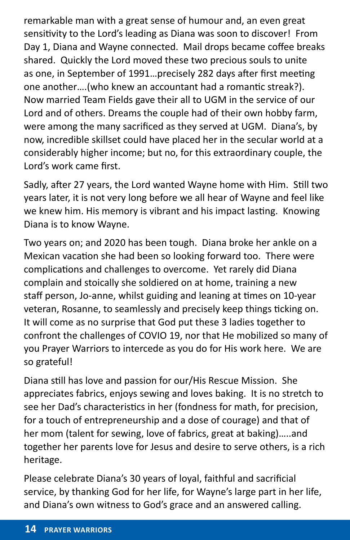remarkable man with a great sense of humour and, an even great sensitivity to the Lord's leading as Diana was soon to discover! From Day 1, Diana and Wayne connected. Mail drops became coffee breaks shared. Quickly the Lord moved these two precious souls to unite as one, in September of 1991…precisely 282 days after first meeting one another….(who knew an accountant had a romantic streak?). Now married Team Fields gave their all to UGM in the service of our Lord and of others. Dreams the couple had of their own hobby farm, were among the many sacrificed as they served at UGM. Diana's, by now, incredible skillset could have placed her in the secular world at a considerably higher income; but no, for this extraordinary couple, the Lord's work came first.

Sadly, after 27 years, the Lord wanted Wayne home with Him. Still two years later, it is not very long before we all hear of Wayne and feel like we knew him. His memory is vibrant and his impact lasting. Knowing Diana is to know Wayne.

Two years on; and 2020 has been tough. Diana broke her ankle on a Mexican vacation she had been so looking forward too. There were complications and challenges to overcome. Yet rarely did Diana complain and stoically she soldiered on at home, training a new staff person, Jo-anne, whilst guiding and leaning at times on 10-year veteran, Rosanne, to seamlessly and precisely keep things ticking on. It will come as no surprise that God put these 3 ladies together to confront the challenges of COVIO 19, nor that He mobilized so many of you Prayer Warriors to intercede as you do for His work here. We are so grateful!

Diana still has love and passion for our/His Rescue Mission. She appreciates fabrics, enjoys sewing and loves baking. It is no stretch to see her Dad's characteristics in her (fondness for math, for precision, for a touch of entrepreneurship and a dose of courage) and that of her mom (talent for sewing, love of fabrics, great at baking)…..and together her parents love for Jesus and desire to serve others, is a rich heritage.

Please celebrate Diana's 30 years of loyal, faithful and sacrificial service, by thanking God for her life, for Wayne's large part in her life, and Diana's own witness to God's grace and an answered calling.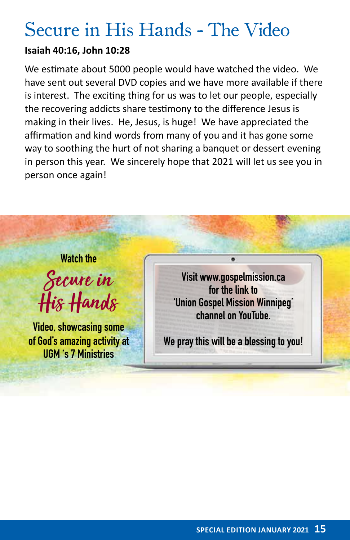### Secure in His Hands - The Video

#### **Isaiah 40:16, John 10:28**

We estimate about 5000 people would have watched the video. We have sent out several DVD copies and we have more available if there is interest. The exciting thing for us was to let our people, especially the recovering addicts share testimony to the difference Jesus is making in their lives. He, Jesus, is huge! We have appreciated the affirmation and kind words from many of you and it has gone some way to soothing the hurt of not sharing a banquet or dessert evening in person this year. We sincerely hope that 2021 will let us see you in person once again!

### **Watch the**

Secure in His Hands

**Video, showcasing some of God's amazing activity at UGM 's 7 Ministries**

**Visit www.gospelmission.ca for the link to 'Union Gospel Mission Winnipeg' channel on YouTube.** 

**We pray this will be a blessing to you!**